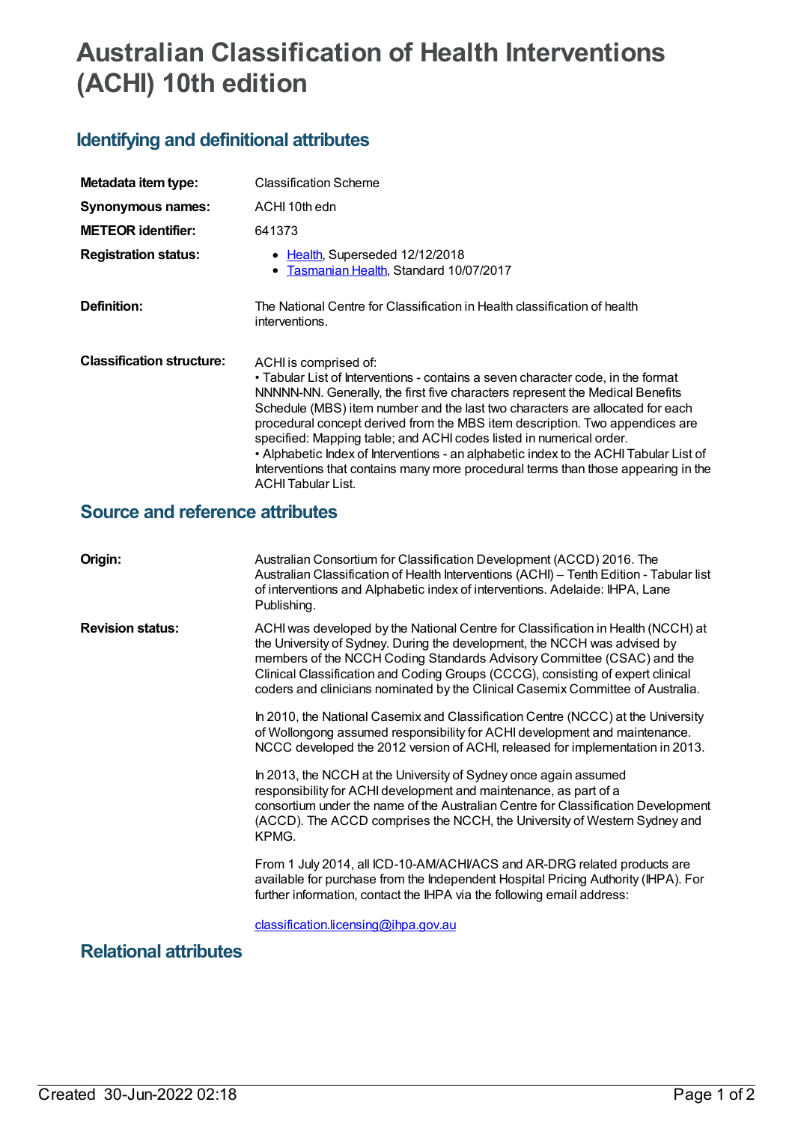## **Australian Classification of Health Interventions (ACHI) 10th edition**

## **Identifying and definitional attributes**

| Metadata item type:              | <b>Classification Scheme</b>                                                                                                                                                                                                                                                                                                                                                                                                                                                                                                                                                                                                                   |
|----------------------------------|------------------------------------------------------------------------------------------------------------------------------------------------------------------------------------------------------------------------------------------------------------------------------------------------------------------------------------------------------------------------------------------------------------------------------------------------------------------------------------------------------------------------------------------------------------------------------------------------------------------------------------------------|
| Synonymous names:                | ACHI 10th edn                                                                                                                                                                                                                                                                                                                                                                                                                                                                                                                                                                                                                                  |
| <b>METEOR identifier:</b>        | 641373                                                                                                                                                                                                                                                                                                                                                                                                                                                                                                                                                                                                                                         |
| <b>Registration status:</b>      | • Health, Superseded 12/12/2018<br>• Tasmanian Health, Standard 10/07/2017                                                                                                                                                                                                                                                                                                                                                                                                                                                                                                                                                                     |
| Definition:                      | The National Centre for Classification in Health classification of health<br>interventions.                                                                                                                                                                                                                                                                                                                                                                                                                                                                                                                                                    |
| <b>Classification structure:</b> | ACHI is comprised of:<br>• Tabular List of Interventions - contains a seven character code, in the format<br>NNNNN-NN. Generally, the first five characters represent the Medical Benefits<br>Schedule (MBS) item number and the last two characters are allocated for each<br>procedural concept derived from the MBS item description. Two appendices are<br>specified: Mapping table; and ACHI codes listed in numerical order.<br>• Alphabetic Index of Interventions - an alphabetic index to the ACHI Tabular List of<br>Interventions that contains many more procedural terms than those appearing in the<br><b>ACHI Tabular List.</b> |

## **Source and reference attributes**

| Origin:                 | Australian Consortium for Classification Development (ACCD) 2016. The<br>Australian Classification of Health Interventions (ACHI) - Tenth Edition - Tabular list<br>of interventions and Alphabetic index of interventions. Adelaide: IHPA, Lane<br>Publishing.                                                                                                                                               |
|-------------------------|---------------------------------------------------------------------------------------------------------------------------------------------------------------------------------------------------------------------------------------------------------------------------------------------------------------------------------------------------------------------------------------------------------------|
| <b>Revision status:</b> | ACHI was developed by the National Centre for Classification in Health (NCCH) at<br>the University of Sydney. During the development, the NCCH was advised by<br>members of the NCCH Coding Standards Advisory Committee (CSAC) and the<br>Clinical Classification and Coding Groups (CCCG), consisting of expert clinical<br>coders and clinicians nominated by the Clinical Casemix Committee of Australia. |
|                         | In 2010, the National Casemix and Classification Centre (NCCC) at the University<br>of Wollongong assumed responsibility for ACHI development and maintenance.<br>NCCC developed the 2012 version of ACHI, released for implementation in 2013.                                                                                                                                                               |
|                         | In 2013, the NCCH at the University of Sydney once again assumed<br>responsibility for ACHI development and maintenance, as part of a<br>consortium under the name of the Australian Centre for Classification Development<br>(ACCD). The ACCD comprises the NCCH, the University of Western Sydney and<br>KPMG.                                                                                              |
|                         | From 1 July 2014, all ICD-10-AM/ACHI/ACS and AR-DRG related products are<br>available for purchase from the Independent Hospital Pricing Authority (IHPA). For<br>further information, contact the IHPA via the following email address:                                                                                                                                                                      |
| .                       | classification.licensing@ihpa.gov.au                                                                                                                                                                                                                                                                                                                                                                          |

**Relational attributes**